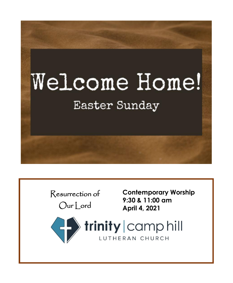

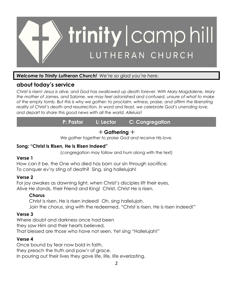

## *Welcome to Trinity Lutheran Church! We're so glad you're here.*

# **about today's service**

*Christ is risen! Jesus is alive, and God has swallowed up death forever. With Mary Magdalene, Mary the mother of James, and Salome, we may feel astonished and confused, unsure of what to make of the empty tomb. But this is why we gather: to proclaim, witness, praise, and affirm the liberating*  reality of Christ's death and resurrection. In word and feast, we celebrate God's unending love, *and depart to share this good news with all the world. Alleluia*!

**P: Pastor L: Lector C: Congregation**

# + **Gathering** +

*We gather together to praise God and receive His love.*

## **Song: "Christ is Risen, He is Risen Indeed"**

(congregation may follow and hum along with the text)

## **Verse 1**

How can it be, the One who died has born our sin through sacrifice, To conquer ev'ry sting of death? Sing, sing hallelujah!

## **Verse 2**

For joy awakes as dawning light, when Christ's disciples lift their eyes, Alive He stands, their Friend and King! Christ, Christ He is risen.

## **Chorus**

Christ is risen, He is risen indeed! Oh, sing hallelujah. Join the chorus, sing with the redeemed, "Christ is risen, He is risen indeed!"

## **Verse 3**

Where doubt and darkness once had been they saw Him and their hearts believed, That blessed are those who have not seen, Yet sing "Hallelujah!"

#### **Verse 4**

Once bound by fear now bold in faith, they preach the truth and pow'r of grace. In pouring out their lives they gave life, life, life everlasting.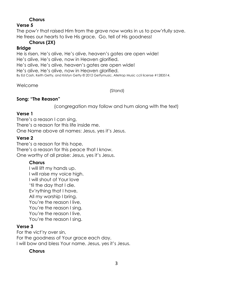# **Chorus**

# **Verse 5**

The pow'r that raised Him from the grave now works in us to pow'rfully save. He frees our hearts to live His grace. Go, tell of His goodness!

# **Chorus (2X)**

## **Bridge**

He is risen, He's alive, He's alive, heaven's gates are open wide! He's alive, He's alive, now in Heaven glorified. He's alive, He's alive, heaven's gates are open wide! He's alive, He's alive, now in Heaven glorified. By Ed Cash, Keith Getty, and Kristyn Getty © 2012 Gettymusic, Alletrop Music ccli license #1283514.

Welcome

(Stand)

# **Song: "The Reason"**

(congregation may follow and hum along with the text)

# **Verse 1**

There's a reason I can sing, There's a reason for this life inside me. One Name above all names: Jesus, yes it's Jesus.

# **Verse 2**

There's a reason for this hope, There's a reason for this peace that I know. One worthy of all praise: Jesus, yes it's Jesus.

# **Chorus**

I will lift my hands up. I will raise my voice high. I will shout of Your love 'til the day that I die. Ev'rything that I have, All my worship I bring. You're the reason I live, You're the reason I sing. You're the reason I live, You're the reason I sing.

# **Verse 3**

For the vict'ry over sin, For the goodness of Your grace each day. I will bow and bless Your name. Jesus, yes it's Jesus.

# **Chorus**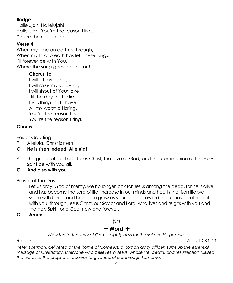## **Bridge**

Hallelujah! Hallelujah! Hallelujah! You're the reason I live, You're the reason I sing.

## **Verse 4**

When my time on earth is through, When my final breath has left these lungs. I'll forever be with You, Where the song goes on and on!

# **Chorus 1a**

I will lift my hands up. I will raise my voice high. I will shout of Your love 'til the day that I die. Ev'rything that I have, All my worship I bring. You're the reason I live, You're the reason I sing.

# **Chorus**

Easter Greeting

- P: Alleluia! Christ is risen.
- **C: He is risen indeed. Alleluia!**
- P: The grace of our Lord Jesus Christ, the love of God, and the communion of the Holy Spirit be with you all.
- **C: And also with you.**

Prayer of the Day

- P: Let us pray. God of mercy, we no longer look for Jesus among the dead, for he is alive and has become the Lord of life. Increase in our minds and hearts the risen life we share with Christ, and help us to grow as your people toward the fullness of eternal life with you, through Jesus Christ, our Savior and Lord, who lives and reigns with you and the Holy Spirit, one God, now and forever.
- **C: Amen.**

(Sit)

# $+$  Word  $+$

*We listen to the story of God's mighty acts for the sake of His people.*

Reading Acts 10:34-43

*Peter's sermon, delivered at the home of Cornelius, a Roman army officer, sums up the essential message of Christianity. Everyone who believes in Jesus, whose life, death, and resurrection fulfilled the words of the prophets, receives forgiveness of sins through his name.*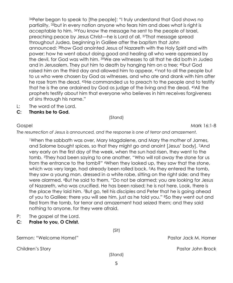<sup>34</sup>Peter began to speak to [the people]: "I truly understand that God shows no partiality, <sup>35</sup>but in every nation anyone who fears him and does what is right is acceptable to him. <sup>36</sup>You know the message he sent to the people of Israel, preaching peace by Jesus Christ—he is Lord of all. <sup>37</sup>That message spread throughout Judea, beginning in Galilee after the baptism that John announced: <sup>38</sup>how God anointed Jesus of Nazareth with the Holy Spirit and with power; how he went about doing good and healing all who were oppressed by the devil, for God was with him. <sup>39</sup>We are witnesses to all that he did both in Judea and in Jerusalem. They put him to death by hanging him on a tree; <sup>40</sup>but God raised him on the third day and allowed him to appear, <sup>41</sup>not to all the people but to us who were chosen by God as witnesses, and who ate and drank with him after he rose from the dead. <sup>42</sup>He commanded us to preach to the people and to testify that he is the one ordained by God as judge of the living and the dead. <sup>43</sup>All the prophets testify about him that everyone who believes in him receives forgiveness of sins through his name."

- L: The word of the Lord.
- **C: Thanks be to God.**

(Stand)

#### Gospel Mark 16:1-8

*The resurrection of Jesus is announced, and the response is one of terror and amazement.*

<sup>1</sup>When the sabbath was over, Mary Magdalene, and Mary the mother of James, and Salome bought spices, so that they might go and anoint [Jesus' body]. <sup>2</sup>And very early on the first day of the week, when the sun had risen, they went to the tomb. <sup>3</sup>They had been saying to one another, "Who will roll away the stone for us from the entrance to the tomb?" <sup>4</sup>When they looked up, they saw that the stone, which was very large, had already been rolled back. <sup>5</sup>As they entered the tomb, they saw a young man, dressed in a white robe, sitting on the right side; and they were alarmed. <sup>6</sup>But he said to them, "Do not be alarmed; you are looking for Jesus of Nazareth, who was crucified. He has been raised; he is not here. Look, there is the place they laid him. <sup>7</sup>But go, tell his disciples and Peter that he is going ahead of you to Galilee; there you will see him, just as he told you." <sup>8</sup>So they went out and fled from the tomb, for terror and amazement had seized them; and they said nothing to anyone, for they were afraid.

- P: The gospel of the Lord.
- **C: Praise to you, O Christ.**

(Sit)

Sermon: "Welcome Home!" 
Pastor Jack M. Horner

Children's Story Pastor John Brock

5 (Stand)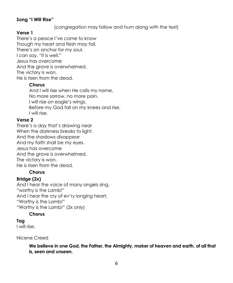## **Song "I Will Rise"**

(congregation may follow and hum along with the text)

## **Verse 1**

There's a peace I've come to know Though my heart and flesh may fail. There's an anchor for my soul. I can say, "it is well." Jesus has overcome And the grave is overwhelmed. The victory is won, He is risen from the dead.

## **Chorus**

And I will rise when He calls my name, No more sorrow, no more pain. I will rise on eagle's wings. Before my God fall on my knees and rise. I will rise.

## **Verse 2**

There's a day that's drawing near When the darkness breaks to light. And the shadows disappear And my faith shall be my eyes. Jesus has overcome And the grave is overwhelmed. The victory is won, He is risen from the dead.

## **Chorus**

## **Bridge (2x)**

And I hear the voice of many angels sing, "worthy is the Lamb!" And I hear the cry of ev'ry longing heart, "Worthy is the Lamb!" "Worthy is the Lamb!" (2x only)

## **Chorus**

## **Tag**

I will rise.

Nicene Creed

**We believe in one God, the Father, the Almighty, maker of heaven and earth, of all that is, seen and unseen.**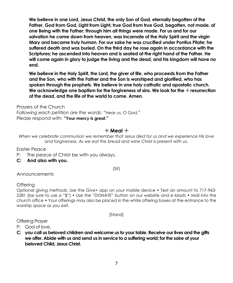**We believe in one Lord, Jesus Christ, the only Son of God, eternally begotten of the Father, God from God, Light from Light, true God from true God, begotten, not made, of one Being with the Father; through him all things were made. For us and for our salvation he came down from heaven, was incarnate of the Holy Spirit and the virgin Mary and became truly human. For our sake he was crucified under Pontius Pilate; he suffered death and was buried. On the third day he rose again in accordance with the Scriptures; he ascended into heaven and is seated at the right hand of the Father. He will come again in glory to judge the living and the dead, and his kingdom will have no end.**

**We believe in the Holy Spirit, the Lord, the giver of life, who proceeds from the Father and the Son, who with the Father and the Son is worshiped and glorified, who has spoken through the prophets. We believe in one holy catholic and apostolic church.**  We acknowledge one baptism for the forgiveness of sins. We look for the  $+$  resurrection **of the dead, and the life of the world to come. Amen.**

Prayers of the Church *Following each petition are the words*: "Hear us, O God." *Please respond with:* **"Your mercy is great."**

## + **Meal** +

*When we celebrate communion we remember that Jesus died for us and we experience His love and forgiveness. As we eat the bread and wine Christ is present with us.*

Easter Peace

- P: The peace of Christ be with you always.
- **C: And also with you.**

(Sit)

Announcements

Offering

Optional giving methods: Use the Give+ app on your mobile device • Text an amount to 717-963- 2281 (be sure to use a "\$") • Use the "DONATE" button on our website and e-blasts • Mail into the church office • Your offerings may also be placed in the white offering boxes at the entrance to the worship space as you exit.

[Stand]

Offering Prayer

- P: God of love,
- **C: you call us beloved children and welcome us to your table. Receive our lives and the gifts we offer. Abide with us and send us in service to a suffering world; for the sake of your beloved Child, Jesus Christ.**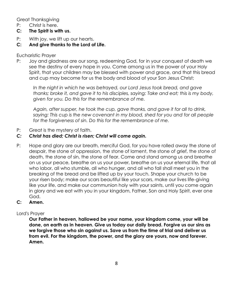Great Thanksgiving

- P: Christ is here.
- **C: The Spirit is with us.**
- P: With joy, we lift up our hearts.

## **C: And give thanks to the Lord of Life.**

Eucharistic Prayer

P: Joy and gladness are our song, redeeming God, for in your conquest of death we see the destiny of every hope in you. Come among us in the power of your Holy Spirit, that your children may be blessed with power and grace, and that this bread and cup may become for us the body and blood of your Son Jesus Christ;

*In the night in which he was betrayed, our Lord Jesus took bread, and gave thanks; broke it, and gave it to his disciples, saying: Take and eat; this is my body, given for you. Do this for the remembrance of me.*

*Again, after supper, he took the cup, gave thanks, and gave it for all to drink, saying: This cup is the new covenant in my blood, shed for you and for all people for the forgiveness of sin. Do this for the remembrance of me.* 

P: Great is the mystery of faith.

## *C: Christ has died; Christ is risen; Christ will come again.*

- P: Hope and glory are our breath, merciful God, for you have rolled away the stone of despair, the stone of oppression, the stone of lament, the stone of grief, the stone of death, the stone of sin, the stone of fear. Come and stand among us and breathe on us your peace, breathe on us your power, breathe on us your eternal life, that all who labor, all who stumble, all who hunger, and all who fall shall meet you in the breaking of the bread and be lifted up by your touch. Shape your church to be your risen body; make our scars beautiful like your scars, make our lives life-giving like your life, and make our communion holy with your saints, until you come again in glory and we eat with you in your kingdom, Father, Son and Holy Spirit, ever one God.
- **C: Amen.**

## Lord's Prayer

**Our Father in heaven, hallowed be your name, your kingdom come, your will be done, on earth as in heaven. Give us today our daily bread. Forgive us our sins as we forgive those who sin against us. Save us from the time of trial and deliver us from evil. For the kingdom, the power, and the glory are yours, now and forever. Amen.**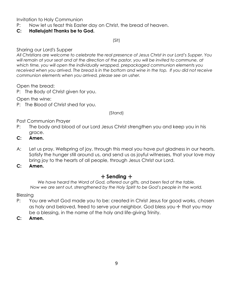Invitation to Holy Communion

- P: Now let us feast this Easter day on Christ, the bread of heaven.
- **C: Hallelujah! Thanks be to God.**

(Sit)

#### Sharing our Lord's Supper

*All Christians are welcome to celebrate the real presence of Jesus Christ in our Lord's Supper. You will remain at your seat and at the direction of the pastor, you will be invited to commune, at which time, you will open the individually wrapped, prepackaged communion elements you received when you arrived. The bread is in the bottom and wine in the top. If you did not receive communion elements when you arrived, please see an usher.*

Open the bread:

P: The Body of Christ given for you.

Open the wine:

P: The Blood of Christ shed for you.

(Stand)

Post Communion Prayer

- P: The body and blood of our Lord Jesus Christ strengthen you and keep you in his grace.
- **C: Amen.**
- A: Let us pray. Wellspring of joy, through this meal you have put gladness in our hearts. Satisfy the hunger still around us, and send us as joyful witnesses, that your love may bring joy to the hearts of all people, through Jesus Christ our Lord.
- **C: Amen.**

## + **Sending** +

*We have heard the Word of God, offered our gifts, and been fed at the table. Now we are sent out, strengthened by the Holy Spirit to be God's people in the world.*

Blessing

- P: You are what God made you to be: created in Christ Jesus for good works, chosen as holy and beloved, freed to serve your neighbor. God bless you ☩ that you may be a blessing, in the name of the holy and life-giving Trinity.
- **C: Amen.**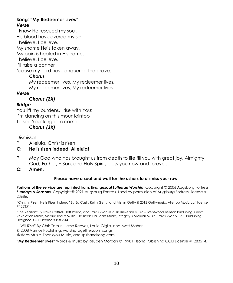#### **Song**: **"My Redeemer Lives"** *Verse*

I know He rescued my soul, His blood has covered my sin. I believe, I believe. My shame He's taken away, My pain is healed in His name. I believe, I believe. I'll raise a banner

'cause my Lord has conquered the grave.

## *Chorus*

My redeemer lives, My redeemer lives, My redeemer lives, My redeemer lives.

*Verse*

*Chorus (2X)*

#### *Bridge*

You lift my burdens, I rise with You; I'm dancing on this mountaintop To see Your kingdom come.

## *Chorus (3X)*

Dismissal

- P: Alleluia! Christ is risen.
- **C: He is risen indeed. Alleluia!**
- P: May God who has brought us from death to life fill you with great joy. Almighty God, Father, + Son, and Holy Spirit, bless you now and forever.
- **C: Amen.**

#### **Please have a seat and wait for the ushers to dismiss your row.**

**Portions of the service are reprinted from:** *Evangelical Lutheran Worship*, Copyright © 2006 Augsburg Fortress. *Sundays & Seasons*, Copyright © 2021 Augsburg Fortress. Used by permission of Augsburg Fortress License # 23686.

"Christ is Risen, He is Risen Indeed" By Ed Cash, Keith Getty, and Kristyn Getty © 2012 Gettymusic, Alletrop Music ccli license #1283514.

"The Reason" By Travis Cottrell, Jeff Pardo, and Travis Ryan © 2018 Universal Music – Brentwood Benson Publishing, Great Revelation Music, Meaux Jeaux Music, Da Bears Da Bears Music, Integrity's Alleluia! Music, Travis Ryan SESAC Publishing Designee. CCLI license #1283514.

"I Will Rise" By Chris Tomlin, Jesse Reeves, Louie Giglio, and Matt Maher

© 2008 Vamos Publishing, worshiptogether.com songs,

sixsteps Music, Thankyou Music, and spiritandsong.com

**"My Redeemer Lives"** Words & music by Reuben Morgan © 1998 Hillsong Publishing CCLI License #1283514.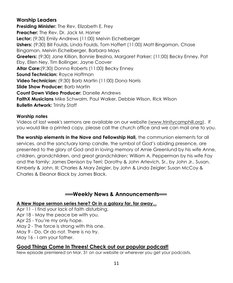# **Worship Leaders**

**Presiding Minister:** The Rev. Elizabeth E. Frey **Preacher:** The Rev. Dr. Jack M. Horner **Lector:** (9:30) Emily Andrews (11:00) Melvin Eichelberger **Ushers:** (9:30) Bill Foulds, Linda Foulds, Tom Hoffert (11:00) Matt Bingaman, Chase Bingaman, Melvin Eichelberger, Barbara Mays **Greeters:** (9:30) Jane Killian, Bonnie Brezina, Margaret Parker; (11:00) Becky Enney. Pat Eby, Ellen Ney, Tim Bollinger, Jayne Coover **Altar Care:**(9:30) Donna Roberts (11:00) Becky Enney **Sound Technician:** Royce Hoffman **Video Technician:** (9:30) Barb Martin (11:00) Dona Norris **Slide Show Producer:** Barb Martin **Count Down Video Producer:** Danelle Andrews **FaithX Musicians** Mike Schwalm, Paul Walker, Debbie Wilson, Rick Wilson **Bulletin Artwork:** Trinity Staff

## **Worship notes**

Videos of last week's sermons are available on our website [\(www.trinitycamphill.org\)](http://www.trinitycamphill.org/). If you would like a printed copy, please call the church office and we can mail one to you.

**The worship elements in the Nave and Fellowship Hall,** the communion elements for all services, and the sanctuary lamp candle, the symbol of God's abiding presence, are presented to the glory of God and in loving memory of Arnie Greenlund by his wife Anne, children, grandchildren, and great grandchildren; William A. Pepperman by his wife Fay and the family; James Denison by Terri; Dorothy & John Artevich, Sr., by John Jr., Susan, Kimberly & John, III; Charles & Mary Zeigler, by John & Linda Zeigler; Susan McCoy & Charles & Eleanor Black by James Black.

# **══Weekly News & Announcements══**

#### **A New Hope sermon series here? Or in a galaxy far, far away...**

- Apr 11 I find your lack of faith disturbing.
- Apr 18 May the peace be with you.
- Apr 25 You're my only hope.
- May 2 The force is strong with this one.
- May 9 Do. Or do not. There is no try.
- May 16 I am your father.

## **Good Things Come In Threes! Check out our popular podcast!**

New episode premiered on Mar. 31 on our website or wherever you get your podcasts.